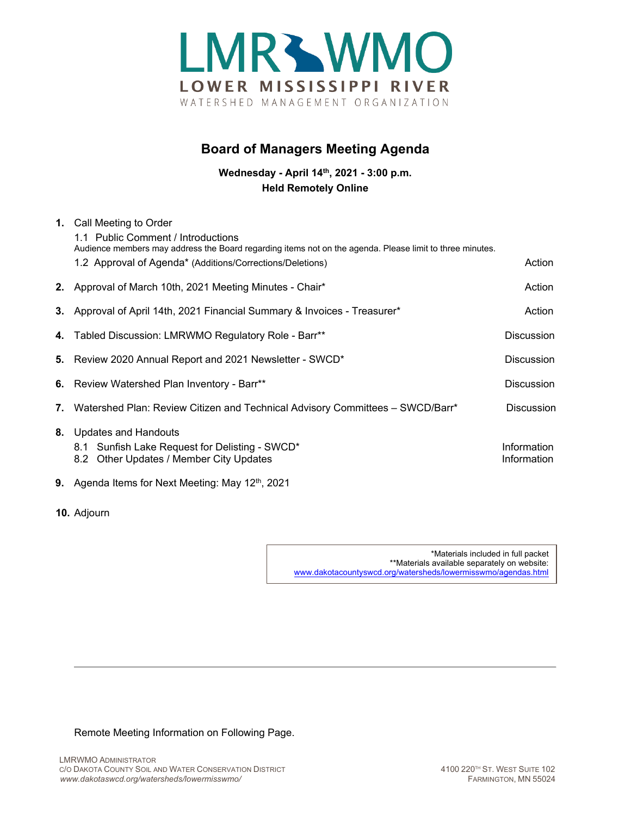

## **Board of Managers Meeting Agenda**

**Wednesday - April 14th, 2021 - 3:00 p.m. Held Remotely Online**

| 1. Call Meeting to Order<br>1.1 Public Comment / Introductions<br>Audience members may address the Board regarding items not on the agenda. Please limit to three minutes. |                            |
|----------------------------------------------------------------------------------------------------------------------------------------------------------------------------|----------------------------|
| 1.2 Approval of Agenda* (Additions/Corrections/Deletions)                                                                                                                  | Action                     |
| 2. Approval of March 10th, 2021 Meeting Minutes - Chair*                                                                                                                   | Action                     |
| 3. Approval of April 14th, 2021 Financial Summary & Invoices - Treasurer*                                                                                                  | Action                     |
| 4. Tabled Discussion: LMRWMO Regulatory Role - Barr**                                                                                                                      | <b>Discussion</b>          |
| 5. Review 2020 Annual Report and 2021 Newsletter - SWCD*                                                                                                                   | <b>Discussion</b>          |
| 6. Review Watershed Plan Inventory - Barr**                                                                                                                                | <b>Discussion</b>          |
| 7. Watershed Plan: Review Citizen and Technical Advisory Committees - SWCD/Barr*                                                                                           | <b>Discussion</b>          |
| 8. Updates and Handouts<br>8.1 Sunfish Lake Request for Delisting - SWCD*<br>8.2 Other Updates / Member City Updates                                                       | Information<br>Information |
| <b>9.</b> Agenda Items for Next Meeting: May $12th$ , 2021                                                                                                                 |                            |

**10.** Adjourn

\*Materials included in full packet \*\*Materials available separately on website: [www.dakotacountyswcd.org/watersheds/lowermisswmo/agendas.html](http://www.dakotacountyswcd.org/watersheds/lowermisswmo/agendas.html)

Remote Meeting Information on Following Page.